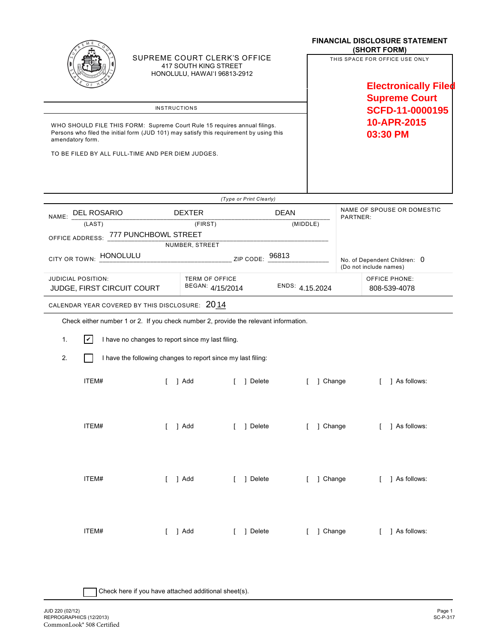|                                                                                                                                                                                          |                                                   |                                                              |                                                                                       | <b>FINANCIAL DISCLOSURE STATEMENT</b><br>(SHORT FORM)  |                                                                                       |  |
|------------------------------------------------------------------------------------------------------------------------------------------------------------------------------------------|---------------------------------------------------|--------------------------------------------------------------|---------------------------------------------------------------------------------------|--------------------------------------------------------|---------------------------------------------------------------------------------------|--|
|                                                                                                                                                                                          |                                                   |                                                              | SUPREME COURT CLERK'S OFFICE<br>417 SOUTH KING STREET<br>HONOLULU, HAWAI'I 96813-2912 |                                                        | THIS SPACE FOR OFFICE USE ONLY<br><b>Electronically Filed</b><br><b>Supreme Court</b> |  |
| <b>INSTRUCTIONS</b>                                                                                                                                                                      |                                                   |                                                              |                                                                                       |                                                        | SCFD-11-0000195                                                                       |  |
| WHO SHOULD FILE THIS FORM: Supreme Court Rule 15 requires annual filings.<br>Persons who filed the initial form (JUD 101) may satisfy this requirement by using this<br>amendatory form. |                                                   |                                                              |                                                                                       |                                                        | 10-APR-2015<br>03:30 PM                                                               |  |
|                                                                                                                                                                                          | TO BE FILED BY ALL FULL-TIME AND PER DIEM JUDGES. |                                                              |                                                                                       |                                                        |                                                                                       |  |
|                                                                                                                                                                                          |                                                   |                                                              | (Type or Print Clearly)                                                               |                                                        |                                                                                       |  |
|                                                                                                                                                                                          | NAME: DEL ROSARIO                                 | <b>DEXTER</b>                                                | <b>DEAN</b>                                                                           |                                                        | NAME OF SPOUSE OR DOMESTIC<br>PARTNER:                                                |  |
| (LAST)<br>(FIRST)                                                                                                                                                                        |                                                   |                                                              |                                                                                       | (MIDDLE)                                               |                                                                                       |  |
| OFFICE ADDRESS: 777 PUNCHBOWL STREET                                                                                                                                                     |                                                   |                                                              |                                                                                       |                                                        |                                                                                       |  |
| NUMBER, STREET<br>CITY OR TOWN: HONOLULU<br>$ZIP$ CODE: $96813$                                                                                                                          |                                                   |                                                              |                                                                                       | No. of Dependent Children: 0<br>(Do not include names) |                                                                                       |  |
| <b>JUDICIAL POSITION:</b>                                                                                                                                                                | JUDGE, FIRST CIRCUIT COURT                        | <b>TERM OF OFFICE</b><br>BEGAN: 4/15/2014                    |                                                                                       | ENDS: 4.15.2024                                        | <b>OFFICE PHONE:</b><br>808-539-4078                                                  |  |
|                                                                                                                                                                                          | CALENDAR YEAR COVERED BY THIS DISCLOSURE: 2014    |                                                              |                                                                                       |                                                        |                                                                                       |  |
| Check either number 1 or 2. If you check number 2, provide the relevant information.                                                                                                     |                                                   |                                                              |                                                                                       |                                                        |                                                                                       |  |
| 1.                                                                                                                                                                                       | $ \mathcal{V} $                                   | I have no changes to report since my last filing.            |                                                                                       |                                                        |                                                                                       |  |
| 2.                                                                                                                                                                                       |                                                   | I have the following changes to report since my last filing: |                                                                                       |                                                        |                                                                                       |  |
|                                                                                                                                                                                          | ITEM#                                             | 1 Add                                                        | 1 Delete                                                                              | 1 Change                                               | 1 As follows:                                                                         |  |
|                                                                                                                                                                                          | ITEM#                                             | $[$ ] Add                                                    | [ ] Delete                                                                            |                                                        | [ ] Change [ ] As follows:                                                            |  |
|                                                                                                                                                                                          | ITEM#                                             | $[$ ] Add                                                    | [ ] Delete                                                                            |                                                        | [ ] Change [ ] As follows:                                                            |  |
|                                                                                                                                                                                          | ITEM#                                             | [ ] Add                                                      | [ ] Delete                                                                            | [ ] Change                                             | [ ] As follows:                                                                       |  |

| Check here if you have attached additional sheet(s).